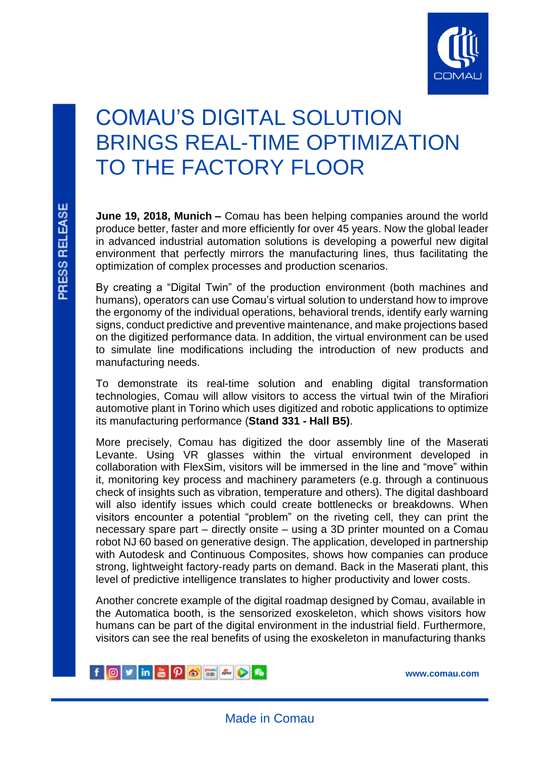

# COMAU'S DIGITAL SOLUTION BRINGS REAL-TIME OPTIMIZATION TO THE FACTORY FLOOR

**June 19, 2018, Munich –** Comau has been helping companies around the world produce better, faster and more efficiently for over 45 years. Now the global leader in advanced industrial automation solutions is developing a powerful new digital environment that perfectly mirrors the manufacturing lines, thus facilitating the optimization of complex processes and production scenarios.

By creating a "Digital Twin" of the production environment (both machines and humans), operators can use Comau's virtual solution to understand how to improve the ergonomy of the individual operations, behavioral trends, identify early warning signs, conduct predictive and preventive maintenance, and make projections based on the digitized performance data. In addition, the virtual environment can be used to simulate line modifications including the introduction of new products and manufacturing needs.

To demonstrate its real-time solution and enabling digital transformation technologies, Comau will allow visitors to access the virtual twin of the Mirafiori automotive plant in Torino which uses digitized and robotic applications to optimize its manufacturing performance (**Stand 331 - Hall B5)**.

More precisely, Comau has digitized the door assembly line of the Maserati Levante. Using VR glasses within the virtual environment developed in collaboration with FlexSim, visitors will be immersed in the line and "move" within it, monitoring key process and machinery parameters (e.g. through a continuous check of insights such as vibration, temperature and others). The digital dashboard will also identify issues which could create bottlenecks or breakdowns. When visitors encounter a potential "problem" on the riveting cell, they can print the necessary spare part – directly onsite – using a 3D printer mounted on a Comau robot NJ 60 based on generative design. The application, developed in partnership with Autodesk and Continuous Composites, shows how companies can produce strong, lightweight factory-ready parts on demand. Back in the Maserati plant, this level of predictive intelligence translates to higher productivity and lower costs.

Another concrete example of the digital roadmap designed by Comau, available in the Automatica booth, is the sensorized exoskeleton, which shows visitors how humans can be part of the digital environment in the industrial field. Furthermore, visitors can see the real benefits of using the exoskeleton in manufacturing thanks

f O y in **a**  $\rho$  **s** a  $\rho$  **a** 

**[www.comau.com](http://www.comau.com/EN)**

ľ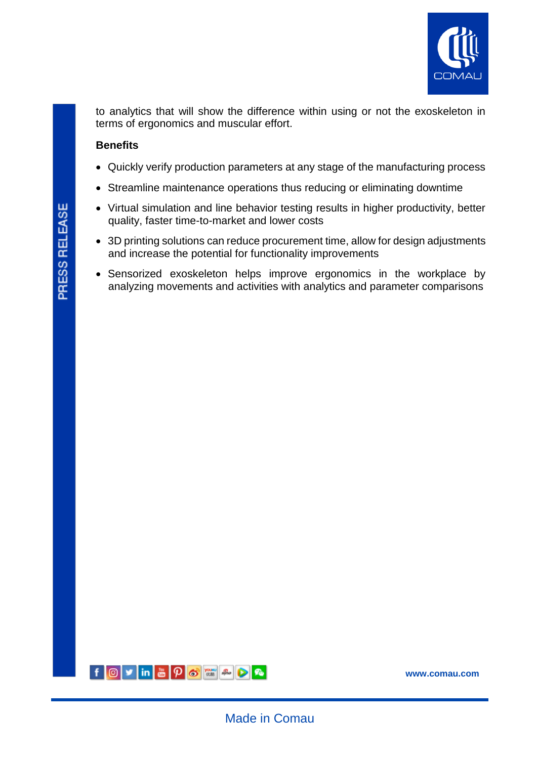

to analytics that will show the difference within using or not the exoskeleton in terms of ergonomics and muscular effort.

## **Benefits**

- Quickly verify production parameters at any stage of the manufacturing process
- Streamline maintenance operations thus reducing or eliminating downtime
- Virtual simulation and line behavior testing results in higher productivity, better quality, faster time-to-market and lower costs
- 3D printing solutions can reduce procurement time, allow for design adjustments and increase the potential for functionality improvements
- Sensorized exoskeleton helps improve ergonomics in the workplace by analyzing movements and activities with analytics and parameter comparisons



ľ